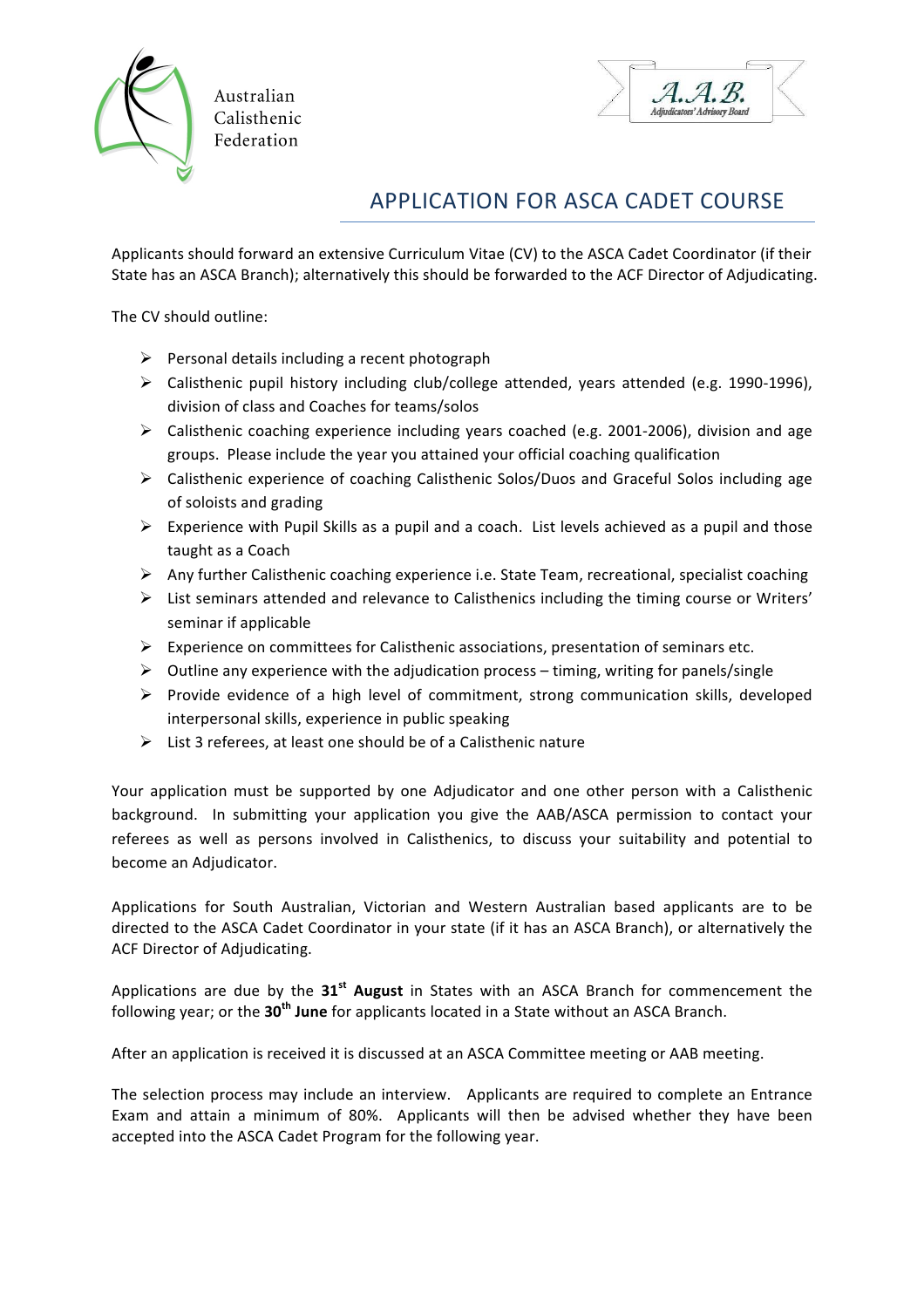

Australian Calisthenic Federation



## APPLICATION FOR ASCA CADET COURSE

Applicants should forward an extensive Curriculum Vitae (CV) to the ASCA Cadet Coordinator (if their State has an ASCA Branch); alternatively this should be forwarded to the ACF Director of Adjudicating.

The CV should outline:

- $\triangleright$  Personal details including a recent photograph
- $\triangleright$  Calisthenic pupil history including club/college attended, years attended (e.g. 1990-1996), division of class and Coaches for teams/solos
- $\triangleright$  Calisthenic coaching experience including years coached (e.g. 2001-2006), division and age groups. Please include the year you attained your official coaching qualification
- $\triangleright$  Calisthenic experience of coaching Calisthenic Solos/Duos and Graceful Solos including age of soloists and grading
- $\triangleright$  Experience with Pupil Skills as a pupil and a coach. List levels achieved as a pupil and those taught as a Coach
- $\triangleright$  Any further Calisthenic coaching experience i.e. State Team, recreational, specialist coaching
- $\triangleright$  List seminars attended and relevance to Calisthenics including the timing course or Writers' seminar if applicable
- $\triangleright$  Experience on committees for Calisthenic associations, presentation of seminars etc.
- $\triangleright$  Outline any experience with the adjudication process timing, writing for panels/single
- $\triangleright$  Provide evidence of a high level of commitment, strong communication skills, developed interpersonal skills, experience in public speaking
- $\triangleright$  List 3 referees, at least one should be of a Calisthenic nature

Your application must be supported by one Adjudicator and one other person with a Calisthenic background. In submitting your application you give the AAB/ASCA permission to contact your referees as well as persons involved in Calisthenics, to discuss your suitability and potential to become an Adjudicator.

Applications for South Australian, Victorian and Western Australian based applicants are to be directed to the ASCA Cadet Coordinator in your state (if it has an ASCA Branch), or alternatively the ACF Director of Adjudicating.

Applications are due by the 31<sup>st</sup> August in States with an ASCA Branch for commencement the following year; or the 30<sup>th</sup> June for applicants located in a State without an ASCA Branch.

After an application is received it is discussed at an ASCA Committee meeting or AAB meeting.

The selection process may include an interview. Applicants are required to complete an Entrance Exam and attain a minimum of 80%. Applicants will then be advised whether they have been accepted into the ASCA Cadet Program for the following year.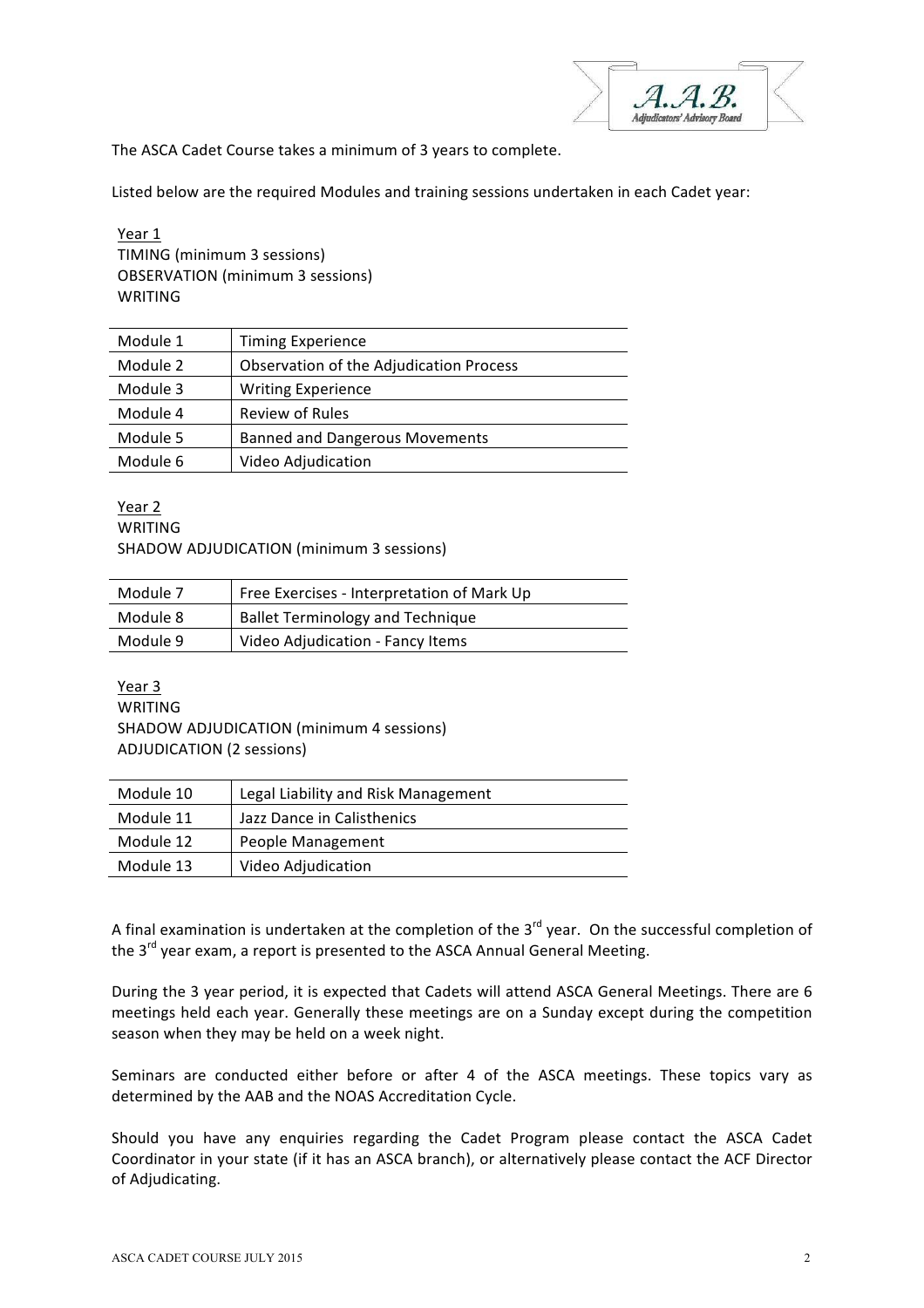The ASCA Cadet Course takes a minimum of 3 years to complete.

Listed below are the required Modules and training sessions undertaken in each Cadet year:

Year 1 TIMING (minimum 3 sessions) OBSERVATION (minimum 3 sessions) WRITING

| <b>Timing Experience</b>                |
|-----------------------------------------|
| Observation of the Adjudication Process |
| <b>Writing Experience</b>               |
| Review of Rules                         |
| <b>Banned and Dangerous Movements</b>   |
| Video Adjudication                      |
|                                         |

Year 2 WRITING SHADOW ADJUDICATION (minimum 3 sessions)

| Module 7 | Free Exercises - Interpretation of Mark Up |
|----------|--------------------------------------------|
| Module 8 | <b>Ballet Terminology and Technique</b>    |
| Module 9 | Video Adjudication - Fancy Items           |

Year 3 WRITING SHADOW ADJUDICATION (minimum 4 sessions) ADJUDICATION (2 sessions)

| Module 10 | Legal Liability and Risk Management |
|-----------|-------------------------------------|
| Module 11 | Jazz Dance in Calisthenics          |
| Module 12 | People Management                   |
| Module 13 | Video Adjudication                  |

A final examination is undertaken at the completion of the  $3^{rd}$  year. On the successful completion of the 3<sup>rd</sup> year exam, a report is presented to the ASCA Annual General Meeting.

During the 3 year period, it is expected that Cadets will attend ASCA General Meetings. There are 6 meetings held each year. Generally these meetings are on a Sunday except during the competition season when they may be held on a week night.

Seminars are conducted either before or after 4 of the ASCA meetings. These topics vary as determined by the AAB and the NOAS Accreditation Cycle.

Should you have any enquiries regarding the Cadet Program please contact the ASCA Cadet Coordinator in your state (if it has an ASCA branch), or alternatively please contact the ACF Director of Adjudicating.